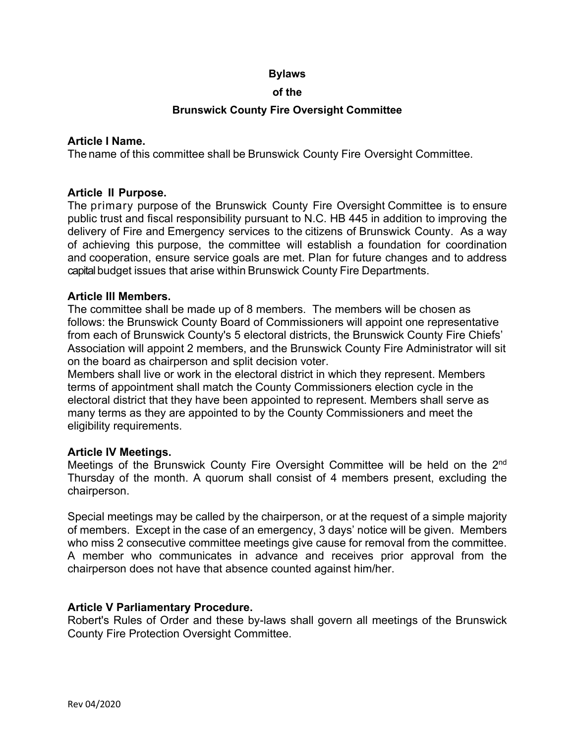#### **Bylaws**

#### **of the**

#### **Brunswick County Fire Oversight Committee**

## **Article I Name.**

The name of this committee shall be Brunswick County Fire Oversight Committee.

## **Article II Purpose.**

The primary purpose of the Brunswick County Fire Oversight Committee is to ensure public trust and fiscal responsibility pursuant to N.C. HB 445 in addition to improving the delivery of Fire and Emergency services to the citizens of Brunswick County. As a way of achieving this purpose, the committee will establish a foundation for coordination and cooperation, ensure service goals are met. Plan for future changes and to address capital budget issues that arise within Brunswick County Fire Departments.

#### **Article Ill Members.**

The committee shall be made up of 8 members. The members will be chosen as follows: the Brunswick County Board of Commissioners will appoint one representative from each of Brunswick County's 5 electoral districts, the Brunswick County Fire Chiefs' Association will appoint 2 members, and the Brunswick County Fire Administrator will sit on the board as chairperson and split decision voter.

Members shall live or work in the electoral district in which they represent. Members terms of appointment shall match the County Commissioners election cycle in the electoral district that they have been appointed to represent. Members shall serve as many terms as they are appointed to by the County Commissioners and meet the eligibility requirements.

## **Article IV Meetings.**

Meetings of the Brunswick County Fire Oversight Committee will be held on the 2nd Thursday of the month. A quorum shall consist of 4 members present, excluding the chairperson.

Special meetings may be called by the chairperson, or at the request of a simple majority of members. Except in the case of an emergency, 3 days' notice will be given. Members who miss 2 consecutive committee meetings give cause for removal from the committee. A member who communicates in advance and receives prior approval from the chairperson does not have that absence counted against him/her.

## **Article V Parliamentary Procedure.**

Robert's Rules of Order and these by-laws shall govern all meetings of the Brunswick County Fire Protection Oversight Committee.